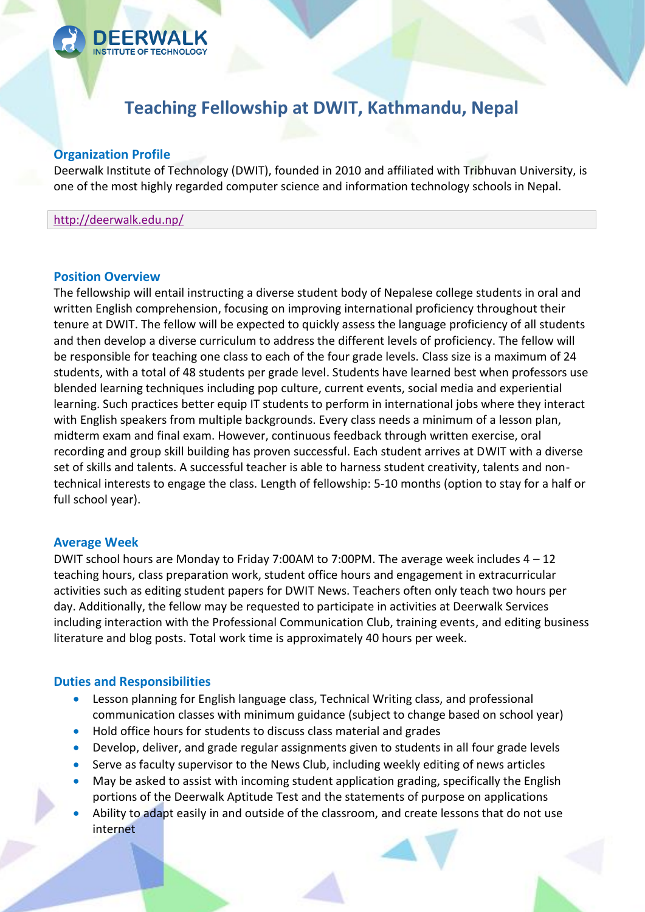

# **Teaching Fellowship at DWIT, Kathmandu, Nepal**

# **Organization Profile**

Deerwalk Institute of Technology (DWIT), founded in 2010 and affiliated with Tribhuvan University, is one of the most highly regarded computer science and information technology schools in Nepal.

#### <http://deerwalk.edu.np/>

#### **Position Overview**

The fellowship will entail instructing a diverse student body of Nepalese college students in oral and written English comprehension, focusing on improving international proficiency throughout their tenure at DWIT. The fellow will be expected to quickly assess the language proficiency of all students and then develop a diverse curriculum to address the different levels of proficiency. The fellow will be responsible for teaching one class to each of the four grade levels. Class size is a maximum of 24 students, with a total of 48 students per grade level. Students have learned best when professors use blended learning techniques including pop culture, current events, social media and experiential learning. Such practices better equip IT students to perform in international jobs where they interact with English speakers from multiple backgrounds. Every class needs a minimum of a lesson plan, midterm exam and final exam. However, continuous feedback through written exercise, oral recording and group skill building has proven successful. Each student arrives at DWIT with a diverse set of skills and talents. A successful teacher is able to harness student creativity, talents and nontechnical interests to engage the class. Length of fellowship: 5-10 months (option to stay for a half or full school year).

#### **Average Week**

DWIT school hours are Monday to Friday 7:00AM to 7:00PM. The average week includes  $4 - 12$ teaching hours, class preparation work, student office hours and engagement in extracurricular activities such as editing student papers for DWIT News. Teachers often only teach two hours per day. Additionally, the fellow may be requested to participate in activities at Deerwalk Services including interaction with the Professional Communication Club, training events, and editing business literature and blog posts. Total work time is approximately 40 hours per week.

## **Duties and Responsibilities**

- Lesson planning for English language class, Technical Writing class, and professional communication classes with minimum guidance (subject to change based on school year)
- Hold office hours for students to discuss class material and grades
- Develop, deliver, and grade regular assignments given to students in all four grade levels
- Serve as faculty supervisor to the News Club, including weekly editing of news articles
- May be asked to assist with incoming student application grading, specifically the English portions of the Deerwalk Aptitude Test and the statements of purpose on applications
- Ability to adapt easily in and outside of the classroom, and create lessons that do not use internet